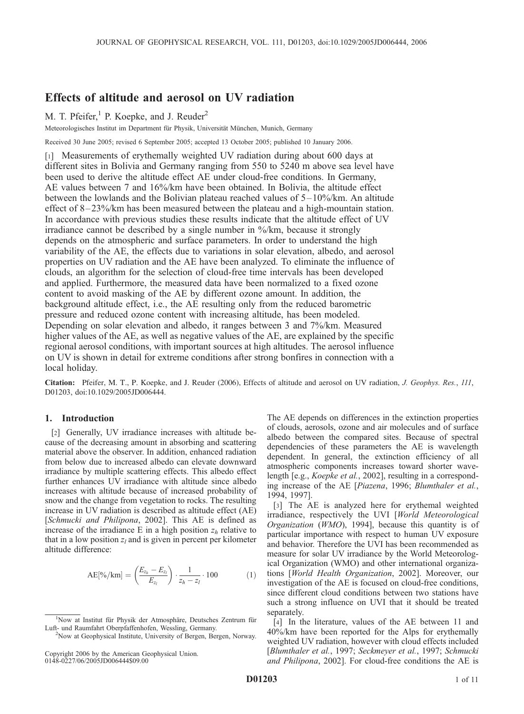# Effects of altitude and aerosol on UV radiation

M. T. Pfeifer, $<sup>1</sup>$  P. Koepke, and J. Reuder<sup>2</sup></sup>

Meteorologisches Institut im Department für Physik, Universität München, Munich, Germany

Received 30 June 2005; revised 6 September 2005; accepted 13 October 2005; published 10 January 2006.

[1] Measurements of erythemally weighted UV radiation during about 600 days at different sites in Bolivia and Germany ranging from 550 to 5240 m above sea level have been used to derive the altitude effect AE under cloud-free conditions. In Germany, AE values between 7 and 16%/km have been obtained. In Bolivia, the altitude effect between the lowlands and the Bolivian plateau reached values of 5–10%/km. An altitude effect of 8–23%/km has been measured between the plateau and a high-mountain station. In accordance with previous studies these results indicate that the altitude effect of UV irradiance cannot be described by a single number in %/km, because it strongly depends on the atmospheric and surface parameters. In order to understand the high variability of the AE, the effects due to variations in solar elevation, albedo, and aerosol properties on UV radiation and the AE have been analyzed. To eliminate the influence of clouds, an algorithm for the selection of cloud-free time intervals has been developed and applied. Furthermore, the measured data have been normalized to a fixed ozone content to avoid masking of the AE by different ozone amount. In addition, the background altitude effect, i.e., the AE resulting only from the reduced barometric pressure and reduced ozone content with increasing altitude, has been modeled. Depending on solar elevation and albedo, it ranges between 3 and 7%/km. Measured higher values of the AE, as well as negative values of the AE, are explained by the specific regional aerosol conditions, with important sources at high altitudes. The aerosol influence on UV is shown in detail for extreme conditions after strong bonfires in connection with a local holiday.

Citation: Pfeifer, M. T., P. Koepke, and J. Reuder (2006), Effects of altitude and aerosol on UV radiation, J. Geophys. Res., 111, D01203, doi:10.1029/2005JD006444.

#### 1. Introduction

[2] Generally, UV irradiance increases with altitude because of the decreasing amount in absorbing and scattering material above the observer. In addition, enhanced radiation from below due to increased albedo can elevate downward irradiance by multiple scattering effects. This albedo effect further enhances UV irradiance with altitude since albedo increases with altitude because of increased probability of snow and the change from vegetation to rocks. The resulting increase in UV radiation is described as altitude effect (AE) [Schmucki and Philipona, 2002]. This AE is defined as increase of the irradiance E in a high position  $z<sub>h</sub>$  relative to that in a low position  $z_l$  and is given in percent per kilometer altitude difference:

$$
AE[% / km] = \left(\frac{E_{z_h} - E_{z_l}}{E_{z_l}}\right) \cdot \frac{1}{z_h - z_l} \cdot 100
$$
 (1)

The AE depends on differences in the extinction properties of clouds, aerosols, ozone and air molecules and of surface albedo between the compared sites. Because of spectral dependencies of these parameters the AE is wavelength dependent. In general, the extinction efficiency of all atmospheric components increases toward shorter wavelength [e.g., Koepke et al., 2002], resulting in a corresponding increase of the AE [Piazena, 1996; Blumthaler et al., 1994, 1997].

[3] The AE is analyzed here for erythemal weighted irradiance, respectively the UVI [World Meteorological Organization (WMO), 1994], because this quantity is of particular importance with respect to human UV exposure and behavior. Therefore the UVI has been recommended as measure for solar UV irradiance by the World Meteorological Organization (WMO) and other international organizations [World Health Organization, 2002]. Moreover, our investigation of the AE is focused on cloud-free conditions, since different cloud conditions between two stations have such a strong influence on UVI that it should be treated separately.

[4] In the literature, values of the AE between 11 and 40%/km have been reported for the Alps for erythemally weighted UV radiation, however with cloud effects included [Blumthaler et al., 1997; Seckmeyer et al., 1997; Schmucki and Philipona, 2002]. For cloud-free conditions the AE is

<sup>&</sup>lt;sup>1</sup>Now at Institut für Physik der Atmosphäre, Deutsches Zentrum für Luft- und Raumfahrt Oberpfaffenhofen, Wessling, Germany. <sup>2</sup>

<sup>&</sup>lt;sup>2</sup>Now at Geophysical Institute, University of Bergen, Bergen, Norway.

Copyright 2006 by the American Geophysical Union. 0148-0227/06/2005JD006444\$09.00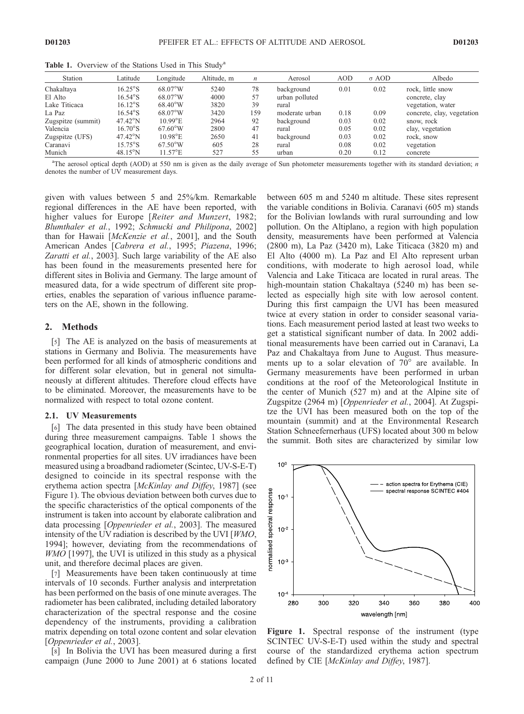| Latitude          | Longitude              | Altitude, m | $\boldsymbol{n}$ | Aerosol        | AOD  | $\sigma$ AOD | Albedo                     |
|-------------------|------------------------|-------------|------------------|----------------|------|--------------|----------------------------|
| $16.25^\circ$ S   | $68.07^{\circ}$ W      | 5240        | 78               | background     | 0.01 | 0.02         | rock, little snow          |
| $16.54^{\circ}$ S | $68.07^{\circ}$ W      | 4000        | 57               | urban polluted |      |              | concrete, clay             |
| $16.12\text{°S}$  | $68.40^{\circ}$ W      | 3820        | 39               | rural          |      |              | vegetation, water          |
| $16.54^{\circ}$ S | $68.07^{\circ}$ W      | 3420        | 159              | moderate urban | 0.18 | 0.09         | concrete, clay, vegetation |
| $47.42^{\circ}$ N | $10.99^{\circ}$ E      | 2964        | 92               | background     | 0.03 | 0.02         | snow, rock                 |
| $16.70^{\circ}$ S | $67.60^{\circ}$ W      | 2800        | 47               | rural          | 0.05 | 0.02         | clay, vegetation           |
| $47.42^{\circ}$ N | $10.98^{\circ}$ E      | 2650        | 41               | background     | 0.03 | 0.02         | rock, snow                 |
| $15.75^{\circ}$ S | $67.50^{\circ}$ W      | 605         | 28               | rural          | 0.08 | 0.02         | vegetation                 |
| $48.15^{\circ}$ N | $11.57$ <sup>o</sup> E | 527         | 55               | urban          | 0.20 | 0.12         | concrete                   |
|                   |                        |             |                  |                |      |              |                            |

Table 1. Overview of the Stations Used in This Study<sup>a</sup>

<sup>a</sup>The aerosol optical depth (AOD) at 550 nm is given as the daily average of Sun photometer measurements together with its standard deviation; n denotes the number of UV measurement days.

given with values between 5 and 25%/km. Remarkable regional differences in the AE have been reported, with higher values for Europe [Reiter and Munzert, 1982; Blumthaler et al., 1992; Schmucki and Philipona, 2002] than for Hawaii [McKenzie et al., 2001], and the South American Andes [Cabrera et al., 1995; Piazena, 1996; Zaratti et al., 2003]. Such large variability of the AE also has been found in the measurements presented here for different sites in Bolivia and Germany. The large amount of measured data, for a wide spectrum of different site properties, enables the separation of various influence parameters on the AE, shown in the following.

## 2. Methods

[5] The AE is analyzed on the basis of measurements at stations in Germany and Bolivia. The measurements have been performed for all kinds of atmospheric conditions and for different solar elevation, but in general not simultaneously at different altitudes. Therefore cloud effects have to be eliminated. Moreover, the measurements have to be normalized with respect to total ozone content.

#### 2.1. UV Measurements

[6] The data presented in this study have been obtained during three measurement campaigns. Table 1 shows the geographical location, duration of measurement, and environmental properties for all sites. UV irradiances have been measured using a broadband radiometer (Scintec, UV-S-E-T) designed to coincide in its spectral response with the erythema action spectra [McKinlay and Diffey, 1987] (see Figure 1). The obvious deviation between both curves due to the specific characteristics of the optical components of the instrument is taken into account by elaborate calibration and data processing [Oppenrieder et al., 2003]. The measured intensity of the UV radiation is described by the UVI [WMO, 1994]; however, deviating from the recommendations of WMO [1997], the UVI is utilized in this study as a physical unit, and therefore decimal places are given.

[7] Measurements have been taken continuously at time intervals of 10 seconds. Further analysis and interpretation has been performed on the basis of one minute averages. The radiometer has been calibrated, including detailed laboratory characterization of the spectral response and the cosine dependency of the instruments, providing a calibration matrix depending on total ozone content and solar elevation [Oppenrieder et al., 2003].

[8] In Bolivia the UVI has been measured during a first campaign (June 2000 to June 2001) at 6 stations located

between 605 m and 5240 m altitude. These sites represent the variable conditions in Bolivia. Caranavi (605 m) stands for the Bolivian lowlands with rural surrounding and low pollution. On the Altiplano, a region with high population density, measurements have been performed at Valencia (2800 m), La Paz (3420 m), Lake Titicaca (3820 m) and El Alto (4000 m). La Paz and El Alto represent urban conditions, with moderate to high aerosol load, while Valencia and Lake Titicaca are located in rural areas. The high-mountain station Chakaltaya (5240 m) has been selected as especially high site with low aerosol content. During this first campaign the UVI has been measured twice at every station in order to consider seasonal variations. Each measurement period lasted at least two weeks to get a statistical significant number of data. In 2002 additional measurements have been carried out in Caranavi, La Paz and Chakaltaya from June to August. Thus measurements up to a solar elevation of  $70^{\circ}$  are available. In Germany measurements have been performed in urban conditions at the roof of the Meteorological Institute in the center of Munich (527 m) and at the Alpine site of Zugspitze (2964 m) [Oppenrieder et al., 2004]. At Zugspitze the UVI has been measured both on the top of the mountain (summit) and at the Environmental Research Station Schneefernerhaus (UFS) located about 300 m below the summit. Both sites are characterized by similar low



Figure 1. Spectral response of the instrument (type SCINTEC UV-S-E-T) used within the study and spectral course of the standardized erythema action spectrum defined by CIE [McKinlay and Diffey, 1987].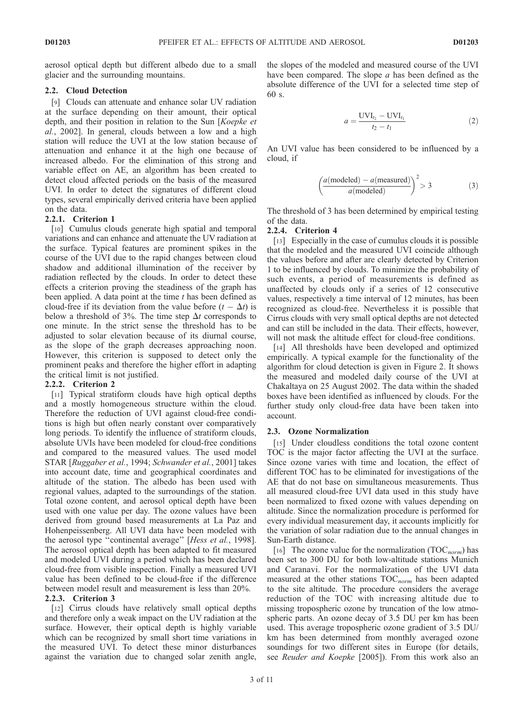aerosol optical depth but different albedo due to a small glacier and the surrounding mountains.

# 2.2. Cloud Detection

[9] Clouds can attenuate and enhance solar UV radiation at the surface depending on their amount, their optical depth, and their position in relation to the Sun [Koepke et al., 2002]. In general, clouds between a low and a high station will reduce the UVI at the low station because of attenuation and enhance it at the high one because of increased albedo. For the elimination of this strong and variable effect on AE, an algorithm has been created to detect cloud affected periods on the basis of the measured UVI. In order to detect the signatures of different cloud types, several empirically derived criteria have been applied on the data.

# 2.2.1. Criterion 1

[10] Cumulus clouds generate high spatial and temporal variations and can enhance and attenuate the UV radiation at the surface. Typical features are prominent spikes in the course of the UVI due to the rapid changes between cloud shadow and additional illumination of the receiver by radiation reflected by the clouds. In order to detect these effects a criterion proving the steadiness of the graph has been applied. A data point at the time  $t$  has been defined as cloud-free if its deviation from the value before  $(t - \Delta t)$  is below a threshold of 3%. The time step  $\Delta t$  corresponds to one minute. In the strict sense the threshold has to be adjusted to solar elevation because of its diurnal course, as the slope of the graph decreases approaching noon. However, this criterion is supposed to detect only the prominent peaks and therefore the higher effort in adapting the critical limit is not justified.

# 2.2.2. Criterion 2

[11] Typical stratiform clouds have high optical depths and a mostly homogeneous structure within the cloud. Therefore the reduction of UVI against cloud-free conditions is high but often nearly constant over comparatively long periods. To identify the influence of stratiform clouds, absolute UVIs have been modeled for cloud-free conditions and compared to the measured values. The used model STAR [Ruggaber et al., 1994; Schwander et al., 2001] takes into account date, time and geographical coordinates and altitude of the station. The albedo has been used with regional values, adapted to the surroundings of the station. Total ozone content, and aerosol optical depth have been used with one value per day. The ozone values have been derived from ground based measurements at La Paz and Hohenpeissenberg. All UVI data have been modeled with the aerosol type "continental average" [Hess et al., 1998]. The aerosol optical depth has been adapted to fit measured and modeled UVI during a period which has been declared cloud-free from visible inspection. Finally a measured UVI value has been defined to be cloud-free if the difference between model result and measurement is less than 20%.

## 2.2.3. Criterion 3

[12] Cirrus clouds have relatively small optical depths and therefore only a weak impact on the UV radiation at the surface. However, their optical depth is highly variable which can be recognized by small short time variations in the measured UVI. To detect these minor disturbances against the variation due to changed solar zenith angle, the slopes of the modeled and measured course of the UVI have been compared. The slope a has been defined as the absolute difference of the UVI for a selected time step of 60 s.

$$
a = \frac{UVI_{t_2} - UVI_{t_1}}{t_2 - t_1}
$$
 (2)

An UVI value has been considered to be influenced by a cloud, if

$$
\left(\frac{a(\text{modeled}) - a(\text{measured})}{a(\text{modeled})}\right)^2 > 3
$$
 (3)

The threshold of 3 has been determined by empirical testing of the data.

## 2.2.4. Criterion 4

[13] Especially in the case of cumulus clouds it is possible that the modeled and the measured UVI coincide although the values before and after are clearly detected by Criterion 1 to be influenced by clouds. To minimize the probability of such events, a period of measurements is defined as unaffected by clouds only if a series of 12 consecutive values, respectively a time interval of 12 minutes, has been recognized as cloud-free. Nevertheless it is possible that Cirrus clouds with very small optical depths are not detected and can still be included in the data. Their effects, however, will not mask the altitude effect for cloud-free conditions.

[14] All thresholds have been developed and optimized empirically. A typical example for the functionality of the algorithm for cloud detection is given in Figure 2. It shows the measured and modeled daily course of the UVI at Chakaltaya on 25 August 2002. The data within the shaded boxes have been identified as influenced by clouds. For the further study only cloud-free data have been taken into account.

## 2.3. Ozone Normalization

[15] Under cloudless conditions the total ozone content TOC is the major factor affecting the UVI at the surface. Since ozone varies with time and location, the effect of different TOC has to be eliminated for investigations of the AE that do not base on simultaneous measurements. Thus all measured cloud-free UVI data used in this study have been normalized to fixed ozone with values depending on altitude. Since the normalization procedure is performed for every individual measurement day, it accounts implicitly for the variation of solar radiation due to the annual changes in Sun-Earth distance.

[16] The ozone value for the normalization  $(TOC_{norm})$  has been set to 300 DU for both low-altitude stations Munich and Caranavi. For the normalization of the UVI data measured at the other stations  $\text{TOC}_{norm}$  has been adapted to the site altitude. The procedure considers the average reduction of the TOC with increasing altitude due to missing tropospheric ozone by truncation of the low atmospheric parts. An ozone decay of 3.5 DU per km has been used. This average tropospheric ozone gradient of 3.5 DU/ km has been determined from monthly averaged ozone soundings for two different sites in Europe (for details, see Reuder and Koepke [2005]). From this work also an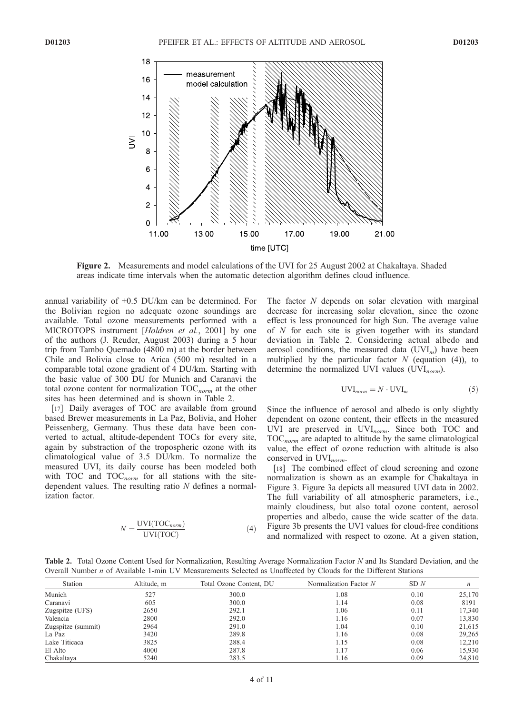

Figure 2. Measurements and model calculations of the UVI for 25 August 2002 at Chakaltaya. Shaded areas indicate time intervals when the automatic detection algorithm defines cloud influence.

annual variability of  $\pm 0.5$  DU/km can be determined. For the Bolivian region no adequate ozone soundings are available. Total ozone measurements performed with a MICROTOPS instrument [Holdren et al., 2001] by one of the authors (J. Reuder, August 2003) during a 5 hour trip from Tambo Quemado (4800 m) at the border between Chile and Bolivia close to Arica (500 m) resulted in a comparable total ozone gradient of 4 DU/km. Starting with the basic value of 300 DU for Munich and Caranavi the total ozone content for normalization  $\text{TOC}_{norm}$  at the other sites has been determined and is shown in Table 2.

[17] Daily averages of TOC are available from ground based Brewer measurements in La Paz, Bolivia, and Hoher Peissenberg, Germany. Thus these data have been converted to actual, altitude-dependent TOCs for every site, again by substraction of the tropospheric ozone with its climatological value of 3.5 DU/km. To normalize the measured UVI, its daily course has been modeled both with TOC and  $TOC_{norm}$  for all stations with the sitedependent values. The resulting ratio  $N$  defines a normalization factor.

$$
N = \frac{\text{UVI(TOC}_{norm})}{\text{UVI(TOC)}}\tag{4}
$$

The factor N depends on solar elevation with marginal decrease for increasing solar elevation, since the ozone effect is less pronounced for high Sun. The average value of N for each site is given together with its standard deviation in Table 2. Considering actual albedo and aerosol conditions, the measured data  $(UVI<sub>m</sub>)$  have been multiplied by the particular factor  $N$  (equation (4)), to determine the normalized UVI values (UVI $_{norm}$ ).

$$
UVI_{norm} = N \cdot UVI_m \tag{5}
$$

Since the influence of aerosol and albedo is only slightly dependent on ozone content, their effects in the measured UVI are preserved in  $UVI_{norm}$ . Since both TOC and  $TOC_{norm}$  are adapted to altitude by the same climatological value, the effect of ozone reduction with altitude is also conserved in  $UVI_{norm}$ .

[18] The combined effect of cloud screening and ozone normalization is shown as an example for Chakaltaya in Figure 3. Figure 3a depicts all measured UVI data in 2002. The full variability of all atmospheric parameters, i.e., mainly cloudiness, but also total ozone content, aerosol properties and albedo, cause the wide scatter of the data. Figure 3b presents the UVI values for cloud-free conditions and normalized with respect to ozone. At a given station,

Table 2. Total Ozone Content Used for Normalization, Resulting Average Normalization Factor N and Its Standard Deviation, and the Overall Number n of Available 1-min UV Measurements Selected as Unaffected by Clouds for the Different Stations

| Station            | Altitude, m | Total Ozone Content, DU | Normalization Factor N | SD <sub>N</sub> | n      |
|--------------------|-------------|-------------------------|------------------------|-----------------|--------|
| Munich             | 527         | 300.0                   | 1.08                   | 0.10            | 25,170 |
| Caranavi           | 605         | 300.0                   | 1.14                   | 0.08            | 8191   |
| Zugspitze (UFS)    | 2650        | 292.1                   | 1.06                   | 0.11            | 17,340 |
| Valencia           | 2800        | 292.0                   | 1.16                   | 0.07            | 13,830 |
| Zugspitze (summit) | 2964        | 291.0                   | 1.04                   | 0.10            | 21,615 |
| La Paz             | 3420        | 289.8                   | 1.16                   | 0.08            | 29,265 |
| Lake Titicaca      | 3825        | 288.4                   | 1.15                   | 0.08            | 12,210 |
| El Alto            | 4000        | 287.8                   | 1.17                   | 0.06            | 15,930 |
| Chakaltava         | 5240        | 283.5                   | 1.16                   | 0.09            | 24,810 |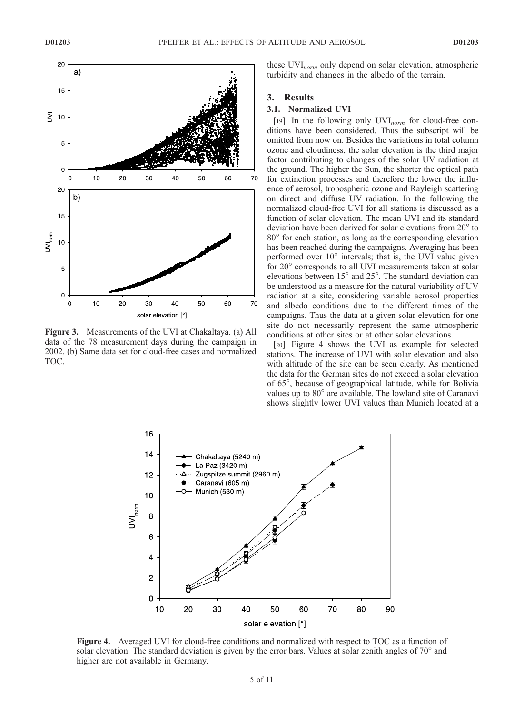

Figure 3. Measurements of the UVI at Chakaltaya. (a) All data of the 78 measurement days during the campaign in 2002. (b) Same data set for cloud-free cases and normalized TOC.

these UVI<sub>norm</sub> only depend on solar elevation, atmospheric turbidity and changes in the albedo of the terrain.

#### 3. Results

## 3.1. Normalized UVI

[19] In the following only  $UVI_{norm}$  for cloud-free conditions have been considered. Thus the subscript will be omitted from now on. Besides the variations in total column ozone and cloudiness, the solar elevation is the third major factor contributing to changes of the solar UV radiation at the ground. The higher the Sun, the shorter the optical path for extinction processes and therefore the lower the influence of aerosol, tropospheric ozone and Rayleigh scattering on direct and diffuse UV radiation. In the following the normalized cloud-free UVI for all stations is discussed as a function of solar elevation. The mean UVI and its standard deviation have been derived for solar elevations from 20<sup>°</sup> to  $80^\circ$  for each station, as long as the corresponding elevation has been reached during the campaigns. Averaging has been performed over  $10^{\circ}$  intervals; that is, the UVI value given for 20° corresponds to all UVI measurements taken at solar elevations between  $15^{\circ}$  and  $25^{\circ}$ . The standard deviation can be understood as a measure for the natural variability of UV radiation at a site, considering variable aerosol properties and albedo conditions due to the different times of the campaigns. Thus the data at a given solar elevation for one site do not necessarily represent the same atmospheric conditions at other sites or at other solar elevations.

[20] Figure 4 shows the UVI as example for selected stations. The increase of UVI with solar elevation and also with altitude of the site can be seen clearly. As mentioned the data for the German sites do not exceed a solar elevation of 65°, because of geographical latitude, while for Bolivia values up to 80° are available. The lowland site of Caranavi shows slightly lower UVI values than Munich located at a



Figure 4. Averaged UVI for cloud-free conditions and normalized with respect to TOC as a function of solar elevation. The standard deviation is given by the error bars. Values at solar zenith angles of  $70^{\circ}$  and higher are not available in Germany.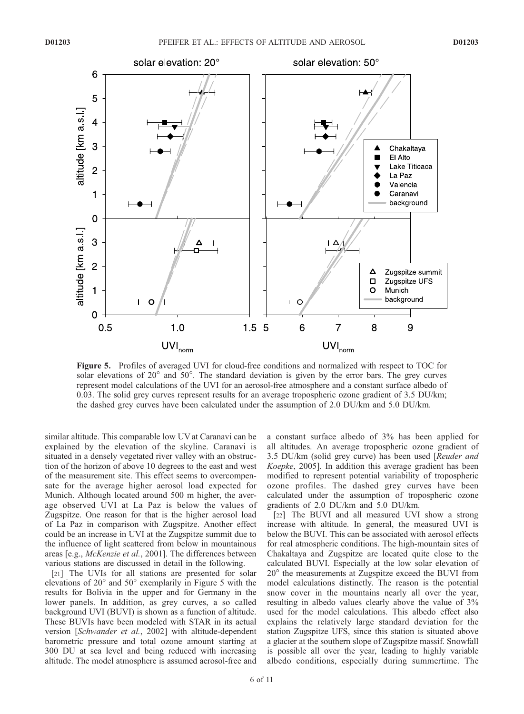

Figure 5. Profiles of averaged UVI for cloud-free conditions and normalized with respect to TOC for solar elevations of  $20^{\circ}$  and  $50^{\circ}$ . The standard deviation is given by the error bars. The grey curves represent model calculations of the UVI for an aerosol-free atmosphere and a constant surface albedo of 0.03. The solid grey curves represent results for an average tropospheric ozone gradient of 3.5 DU/km; the dashed grey curves have been calculated under the assumption of 2.0 DU/km and 5.0 DU/km.

similar altitude. This comparable low UV at Caranavi can be explained by the elevation of the skyline. Caranavi is situated in a densely vegetated river valley with an obstruction of the horizon of above 10 degrees to the east and west of the measurement site. This effect seems to overcompensate for the average higher aerosol load expected for Munich. Although located around 500 m higher, the average observed UVI at La Paz is below the values of Zugspitze. One reason for that is the higher aerosol load of La Paz in comparison with Zugspitze. Another effect could be an increase in UVI at the Zugspitze summit due to the influence of light scattered from below in mountainous areas [e.g., *McKenzie et al.*, 2001]. The differences between various stations are discussed in detail in the following.

[21] The UVIs for all stations are presented for solar elevations of  $20^{\circ}$  and  $50^{\circ}$  exemplarily in Figure 5 with the results for Bolivia in the upper and for Germany in the lower panels. In addition, as grey curves, a so called background UVI (BUVI) is shown as a function of altitude. These BUVIs have been modeled with STAR in its actual version [Schwander et al., 2002] with altitude-dependent barometric pressure and total ozone amount starting at 300 DU at sea level and being reduced with increasing altitude. The model atmosphere is assumed aerosol-free and

a constant surface albedo of 3% has been applied for all altitudes. An average tropospheric ozone gradient of 3.5 DU/km (solid grey curve) has been used [Reuder and Koepke, 2005]. In addition this average gradient has been modified to represent potential variability of tropospheric ozone profiles. The dashed grey curves have been calculated under the assumption of tropospheric ozone gradients of 2.0 DU/km and 5.0 DU/km.

[22] The BUVI and all measured UVI show a strong increase with altitude. In general, the measured UVI is below the BUVI. This can be associated with aerosol effects for real atmospheric conditions. The high-mountain sites of Chakaltaya and Zugspitze are located quite close to the calculated BUVI. Especially at the low solar elevation of 20<sup>°</sup> the measurements at Zugspitze exceed the BUVI from model calculations distinctly. The reason is the potential snow cover in the mountains nearly all over the year, resulting in albedo values clearly above the value of 3% used for the model calculations. This albedo effect also explains the relatively large standard deviation for the station Zugspitze UFS, since this station is situated above a glacier at the southern slope of Zugspitze massif. Snowfall is possible all over the year, leading to highly variable albedo conditions, especially during summertime. The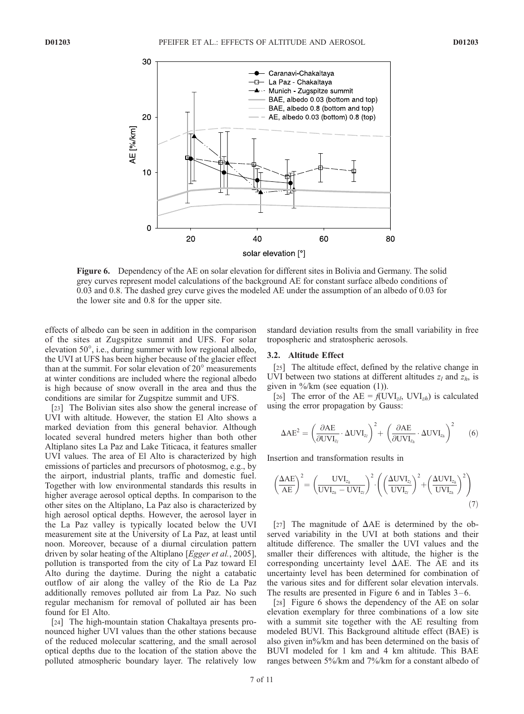

Figure 6. Dependency of the AE on solar elevation for different sites in Bolivia and Germany. The solid grey curves represent model calculations of the background AE for constant surface albedo conditions of 0.03 and 0.8. The dashed grey curve gives the modeled AE under the assumption of an albedo of 0.03 for the lower site and 0.8 for the upper site.

effects of albedo can be seen in addition in the comparison of the sites at Zugspitze summit and UFS. For solar elevation  $50^\circ$ , i.e., during summer with low regional albedo, the UVI at UFS has been higher because of the glacier effect than at the summit. For solar elevation of  $20^{\circ}$  measurements at winter conditions are included where the regional albedo is high because of snow overall in the area and thus the conditions are similar for Zugspitze summit and UFS.

[23] The Bolivian sites also show the general increase of UVI with altitude. However, the station El Alto shows a marked deviation from this general behavior. Although located several hundred meters higher than both other Altiplano sites La Paz and Lake Titicaca, it features smaller UVI values. The area of El Alto is characterized by high emissions of particles and precursors of photosmog, e.g., by the airport, industrial plants, traffic and domestic fuel. Together with low environmental standards this results in higher average aerosol optical depths. In comparison to the other sites on the Altiplano, La Paz also is characterized by high aerosol optical depths. However, the aerosol layer in the La Paz valley is typically located below the UVI measurement site at the University of La Paz, at least until noon. Moreover, because of a diurnal circulation pattern driven by solar heating of the Altiplano [*Egger et al.*, 2005], pollution is transported from the city of La Paz toward El Alto during the daytime. During the night a catabatic outflow of air along the valley of the Rio de La Paz additionally removes polluted air from La Paz. No such regular mechanism for removal of polluted air has been found for El Alto.

[24] The high-mountain station Chakaltaya presents pronounced higher UVI values than the other stations because of the reduced molecular scattering, and the small aerosol optical depths due to the location of the station above the polluted atmospheric boundary layer. The relatively low standard deviation results from the small variability in free tropospheric and stratospheric aerosols.

#### 3.2. Altitude Effect

[25] The altitude effect, defined by the relative change in UVI between two stations at different altitudes  $z_l$  and  $z_h$ , is given in  $\frac{6}{\kappa}$  (see equation (1)).

[26] The error of the AE =  $f(UVI_{zl}, UVI_{zh})$  is calculated using the error propagation by Gauss:

$$
\Delta AE^2 = \left(\frac{\partial AE}{\partial UVI_{z_l}} \cdot \Delta UVI_{z_l}\right)^2 + \left(\frac{\partial AE}{\partial UVI_{z_h}} \cdot \Delta UVI_{z_h}\right)^2 \qquad (6)
$$

Insertion and transformation results in

$$
\left(\frac{\Delta AE}{AE}\right)^2 = \left(\frac{UVI_{z_h}}{UVI_{z_h} - UVI_{z_l}}\right)^2 \cdot \left(\left(\frac{\Delta UVI_{z_l}}{UVI_{z_l}}\right)^2 + \left(\frac{\Delta UVI_{z_h}}{UVI_{z_h}}\right)^2\right)
$$
\n(7)

[27] The magnitude of  $\Delta AE$  is determined by the observed variability in the UVI at both stations and their altitude difference. The smaller the UVI values and the smaller their differences with altitude, the higher is the corresponding uncertainty level  $\Delta AE$ . The AE and its uncertainty level has been determined for combination of the various sites and for different solar elevation intervals. The results are presented in Figure  $6$  and in Tables  $3-6$ .

[28] Figure 6 shows the dependency of the AE on solar elevation exemplary for three combinations of a low site with a summit site together with the AE resulting from modeled BUVI. This Background altitude effect (BAE) is also given in%/km and has been determined on the basis of BUVI modeled for 1 km and 4 km altitude. This BAE ranges between 5%/km and 7%/km for a constant albedo of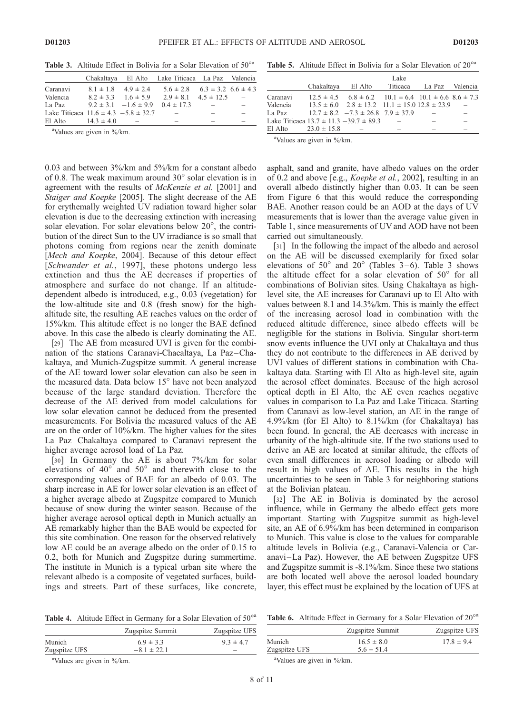Table 3. Altitude Effect in Bolivia for a Solar Elevation of 50<sup>oa</sup>

|                                            |                                             | Chakaltaya El Alto Lake Titicaca La Paz Valencia                      |                          |                          |
|--------------------------------------------|---------------------------------------------|-----------------------------------------------------------------------|--------------------------|--------------------------|
| Caranavi                                   |                                             | $8.1 \pm 1.8$ $4.9 \pm 2.4$ $5.6 \pm 2.8$ $6.3 \pm 3.2$ $6.6 \pm 4.3$ |                          |                          |
| Valencia                                   |                                             | $8.2 \pm 3.3$ $1.6 \pm 5.9$ $2.9 \pm 8.1$ $4.5 \pm 12.5$              |                          | $\hspace{0.1mm}$         |
| La Paz                                     | $9.2 \pm 3.1$ $-1.6 \pm 9.9$ $0.4 \pm 17.3$ |                                                                       | $\overline{\phantom{a}}$ | $\overline{\phantom{a}}$ |
| Lake Titicaca $11.6 \pm 4.3 -5.8 \pm 32.7$ |                                             | $\overline{\phantom{a}}$                                              |                          | $\overline{\phantom{a}}$ |
| El Alto $14.3 \pm 4.0$                     | $\overline{\phantom{a}}$                    | $\overline{\phantom{a}}$                                              |                          |                          |

<sup>a</sup>Values are given in %/km.

0.03 and between 3%/km and 5%/km for a constant albedo of 0.8. The weak maximum around  $30^{\circ}$  solar elevation is in agreement with the results of McKenzie et al. [2001] and Staiger and Koepke [2005]. The slight decrease of the AE for erythemally weighted UV radiation toward higher solar elevation is due to the decreasing extinction with increasing solar elevation. For solar elevations below  $20^{\circ}$ , the contribution of the direct Sun to the UV irradiance is so small that photons coming from regions near the zenith dominate [Mech and Koepke, 2004]. Because of this detour effect [Schwander et al., 1997], these photons undergo less extinction and thus the AE decreases if properties of atmosphere and surface do not change. If an altitudedependent albedo is introduced, e.g., 0.03 (vegetation) for the low-altitude site and 0.8 (fresh snow) for the highaltitude site, the resulting AE reaches values on the order of 15%/km. This altitude effect is no longer the BAE defined above. In this case the albedo is clearly dominating the AE.

[29] The AE from measured UVI is given for the combination of the stations Caranavi-Chacaltaya, La Paz-Chakaltaya, and Munich-Zugspitze summit. A general increase of the AE toward lower solar elevation can also be seen in the measured data. Data below  $15^{\circ}$  have not been analyzed because of the large standard deviation. Therefore the decrease of the AE derived from model calculations for low solar elevation cannot be deduced from the presented measurements. For Bolivia the measured values of the AE are on the order of 10%/km. The higher values for the sites La Paz–Chakaltaya compared to Caranavi represent the higher average aerosol load of La Paz.

[30] In Germany the AE is about 7%/km for solar elevations of  $40^{\circ}$  and  $50^{\circ}$  and therewith close to the corresponding values of BAE for an albedo of 0.03. The sharp increase in AE for lower solar elevation is an effect of a higher average albedo at Zugspitze compared to Munich because of snow during the winter season. Because of the higher average aerosol optical depth in Munich actually an AE remarkably higher than the BAE would be expected for this site combination. One reason for the observed relatively low AE could be an average albedo on the order of 0.15 to 0.2, both for Munich and Zugspitze during summertime. The institute in Munich is a typical urban site where the relevant albedo is a composite of vegetated surfaces, buildings and streets. Part of these surfaces, like concrete,

Table 5. Altitude Effect in Bolivia for a Solar Elevation of 20<sup>oa</sup>

|                         | Chakaltaya El Alto Titicaca La Paz                                       | Lake                     |                          | Valencia                 |
|-------------------------|--------------------------------------------------------------------------|--------------------------|--------------------------|--------------------------|
| Caranavi                | $12.5 \pm 4.5$ $6.8 \pm 6.2$ $10.1 \pm 6.4$ $10.1 \pm 6.6$ $8.6 \pm 7.3$ |                          |                          |                          |
|                         | Valencia $13.5 \pm 6.0$ $2.8 \pm 13.2$ $11.1 \pm 15.0$ $12.8 \pm 23.9$   |                          |                          |                          |
| La Paz                  | $12.7 \pm 8.2$ $-7.3 \pm 26.8$ $7.9 \pm 37.9$                            |                          |                          |                          |
|                         | Lake Titicaca $13.7 \pm 11.3 - 39.7 \pm 89.3$                            | $\overline{\phantom{a}}$ |                          | $\overline{\phantom{a}}$ |
| El Alto $23.0 \pm 15.8$ | $\overline{\phantom{a}}$                                                 | -                        | $\overline{\phantom{a}}$ | -                        |
|                         |                                                                          |                          |                          |                          |

<sup>a</sup>Values are given in %/km.

asphalt, sand and granite, have albedo values on the order of 0.2 and above [e.g., Koepke et al., 2002], resulting in an overall albedo distinctly higher than 0.03. It can be seen from Figure 6 that this would reduce the corresponding BAE. Another reason could be an AOD at the days of UV measurements that is lower than the average value given in Table 1, since measurements of UV and AOD have not been carried out simultaneously.

[31] In the following the impact of the albedo and aerosol on the AE will be discussed exemplarily for fixed solar elevations of  $50^{\circ}$  and  $20^{\circ}$  (Tables  $3-6$ ). Table 3 shows the altitude effect for a solar elevation of  $50^{\circ}$  for all combinations of Bolivian sites. Using Chakaltaya as highlevel site, the AE increases for Caranavi up to El Alto with values between 8.1 and 14.3%/km. This is mainly the effect of the increasing aerosol load in combination with the reduced altitude difference, since albedo effects will be negligible for the stations in Bolivia. Singular short-term snow events influence the UVI only at Chakaltaya and thus they do not contribute to the differences in AE derived by UVI values of different stations in combination with Chakaltaya data. Starting with El Alto as high-level site, again the aerosol effect dominates. Because of the high aerosol optical depth in El Alto, the AE even reaches negative values in comparison to La Paz and Lake Titicaca. Starting from Caranavi as low-level station, an AE in the range of 4.9%/km (for El Alto) to 8.1%/km (for Chakaltaya) has been found. In general, the AE decreases with increase in urbanity of the high-altitude site. If the two stations used to derive an AE are located at similar altitude, the effects of even small differences in aerosol loading or albedo will result in high values of AE. This results in the high uncertainties to be seen in Table 3 for neighboring stations at the Bolivian plateau.

[32] The AE in Bolivia is dominated by the aerosol influence, while in Germany the albedo effect gets more important. Starting with Zugspitze summit as high-level site, an AE of 6.9%/km has been determined in comparison to Munich. This value is close to the values for comparable altitude levels in Bolivia (e.g., Caranavi-Valencia or Caranavi –La Paz). However, the AE between Zugspitze UFS and Zugspitze summit is -8.1%/km. Since these two stations are both located well above the aerosol loaded boundary layer, this effect must be explained by the location of UFS at

Table 4. Altitude Effect in Germany for a Solar Elevation of 50<sup>oa</sup>

|               | Zugspitze Summit | Zugspitze UFS |
|---------------|------------------|---------------|
| Munich        | $6.9 \pm 3.3$    | $9.3 \pm 4.7$ |
| Zugspitze UFS | $-8.1 \pm 22.1$  |               |
|               |                  |               |

<sup>a</sup>Values are given in %/km.

Table 6. Altitude Effect in Germany for a Solar Elevation of  $20^{\circ a}$ 

|               | Zugspitze Summit | Zugspitze UFS            |
|---------------|------------------|--------------------------|
| Munich        | $16.5 \pm 8.0$   | $17.8 \pm 9.4$           |
| Zugspitze UFS | $5.6 \pm 51.4$   | $\overline{\phantom{a}}$ |

<sup>a</sup>Values are given in %/km.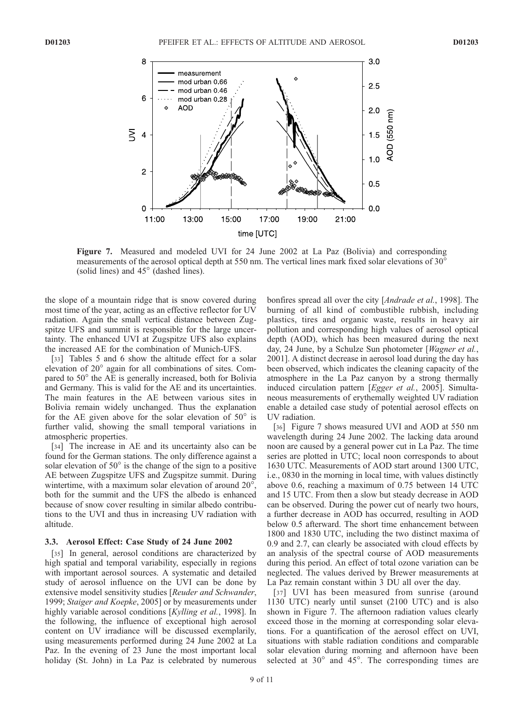

Figure 7. Measured and modeled UVI for 24 June 2002 at La Paz (Bolivia) and corresponding measurements of the aerosol optical depth at 550 nm. The vertical lines mark fixed solar elevations of  $30^{\circ}$ (solid lines) and  $45^\circ$  (dashed lines).

the slope of a mountain ridge that is snow covered during most time of the year, acting as an effective reflector for UV radiation. Again the small vertical distance between Zugspitze UFS and summit is responsible for the large uncertainty. The enhanced UVI at Zugspitze UFS also explains the increased AE for the combination of Munich-UFS.

[33] Tables 5 and 6 show the altitude effect for a solar elevation of 20° again for all combinations of sites. Compared to  $50^{\circ}$  the AE is generally increased, both for Bolivia and Germany. This is valid for the AE and its uncertainties. The main features in the AE between various sites in Bolivia remain widely unchanged. Thus the explanation for the AE given above for the solar elevation of  $50^{\circ}$  is further valid, showing the small temporal variations in atmospheric properties.

[34] The increase in AE and its uncertainty also can be found for the German stations. The only difference against a solar elevation of  $50^{\circ}$  is the change of the sign to a positive AE between Zugspitze UFS and Zugspitze summit. During wintertime, with a maximum solar elevation of around  $20^{\circ}$ both for the summit and the UFS the albedo is enhanced because of snow cover resulting in similar albedo contributions to the UVI and thus in increasing UV radiation with altitude.

#### 3.3. Aerosol Effect: Case Study of 24 June 2002

[35] In general, aerosol conditions are characterized by high spatial and temporal variability, especially in regions with important aerosol sources. A systematic and detailed study of aerosol influence on the UVI can be done by extensive model sensitivity studies [Reuder and Schwander, 1999; Staiger and Koepke, 2005] or by measurements under highly variable aerosol conditions [Kylling et al., 1998]. In the following, the influence of exceptional high aerosol content on UV irradiance will be discussed exemplarily, using measurements performed during 24 June 2002 at La Paz. In the evening of 23 June the most important local holiday (St. John) in La Paz is celebrated by numerous

bonfires spread all over the city [Andrade et al., 1998]. The burning of all kind of combustible rubbish, including plastics, tires and organic waste, results in heavy air pollution and corresponding high values of aerosol optical depth (AOD), which has been measured during the next day, 24 June, by a Schulze Sun photometer [*Wagner et al.*, 2001]. A distinct decrease in aerosol load during the day has been observed, which indicates the cleaning capacity of the atmosphere in the La Paz canyon by a strong thermally induced circulation pattern [*Egger et al.*, 2005]. Simultaneous measurements of erythemally weighted UV radiation enable a detailed case study of potential aerosol effects on UV radiation.

[36] Figure 7 shows measured UVI and AOD at 550 nm wavelength during 24 June 2002. The lacking data around noon are caused by a general power cut in La Paz. The time series are plotted in UTC; local noon corresponds to about 1630 UTC. Measurements of AOD start around 1300 UTC, i.e., 0830 in the morning in local time, with values distinctly above 0.6, reaching a maximum of 0.75 between 14 UTC and 15 UTC. From then a slow but steady decrease in AOD can be observed. During the power cut of nearly two hours, a further decrease in AOD has occurred, resulting in AOD below 0.5 afterward. The short time enhancement between 1800 and 1830 UTC, including the two distinct maxima of 0.9 and 2.7, can clearly be associated with cloud effects by an analysis of the spectral course of AOD measurements during this period. An effect of total ozone variation can be neglected. The values derived by Brewer measurements at La Paz remain constant within 3 DU all over the day.

[37] UVI has been measured from sunrise (around 1130 UTC) nearly until sunset (2100 UTC) and is also shown in Figure 7. The afternoon radiation values clearly exceed those in the morning at corresponding solar elevations. For a quantification of the aerosol effect on UVI, situations with stable radiation conditions and comparable solar elevation during morning and afternoon have been selected at  $30^{\circ}$  and  $45^{\circ}$ . The corresponding times are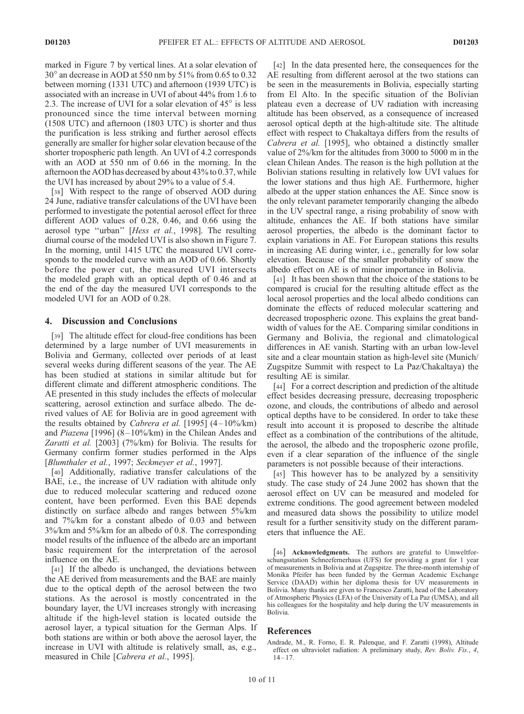marked in Figure 7 by vertical lines. At a solar elevation of 30 an decrease in AOD at 550 nm by 51% from 0.65 to 0.32 between morning (1331 UTC) and afternoon (1939 UTC) is associated with an increase in UVI of about 44% from 1.6 to 2.3. The increase of UVI for a solar elevation of  $45^\circ$  is less pronounced since the time interval between morning (1508 UTC) and afternoon (1803 UTC) is shorter and thus the purification is less striking and further aerosol effects generally are smaller for higher solar elevation because of the shorter tropospheric path length. An UVI of 4.2 corresponds with an AOD at 550 nm of 0.66 in the morning. In the afternoon the AOD has decreased by about 43% to 0.37, while the UVI has increased by about 29% to a value of 5.4.

[38] With respect to the range of observed AOD during 24 June, radiative transfer calculations of the UVI have been performed to investigate the potential aerosol effect for three different AOD values of 0.28, 0.46, and 0.66 using the aerosol type "urban" [Hess et al., 1998]. The resulting diurnal course of the modeled UVI is also shown in Figure 7. In the morning, until 1415 UTC the measured UVI corresponds to the modeled curve with an AOD of 0.66. Shortly before the power cut, the measured UVI intersects the modeled graph with an optical depth of 0.46 and at the end of the day the measured UVI corresponds to the modeled UVI for an AOD of 0.28.

# 4. Discussion and Conclusions

[39] The altitude effect for cloud-free conditions has been determined by a large number of UVI measurements in Bolivia and Germany, collected over periods of at least several weeks during different seasons of the year. The AE has been studied at stations in similar altitude but for different climate and different atmospheric conditions. The AE presented in this study includes the effects of molecular scattering, aerosol extinction and surface albedo. The derived values of AE for Bolivia are in good agreement with the results obtained by *Cabrera et al.* [1995]  $(4-10\% / km)$ and *Piazena* [1996]  $(8-10\%/km)$  in the Chilean Andes and Zaratti et al. [2003] (7%/km) for Bolivia. The results for Germany confirm former studies performed in the Alps [Blumthaler et al., 1997; Seckmeyer et al., 1997].

[40] Additionally, radiative transfer calculations of the BAE, i.e., the increase of UV radiation with altitude only due to reduced molecular scattering and reduced ozone content, have been performed. Even this BAE depends distinctly on surface albedo and ranges between 5%/km and 7%/km for a constant albedo of 0.03 and between 3%/km and 5%/km for an albedo of 0.8. The corresponding model results of the influence of the albedo are an important basic requirement for the interpretation of the aerosol influence on the AE.

[41] If the albedo is unchanged, the deviations between the AE derived from measurements and the BAE are mainly due to the optical depth of the aerosol between the two stations. As the aerosol is mostly concentrated in the boundary layer, the UVI increases strongly with increasing altitude if the high-level station is located outside the aerosol layer, a typical situation for the German Alps. If both stations are within or both above the aerosol layer, the increase in UVI with altitude is relatively small, as, e.g., measured in Chile [Cabrera et al., 1995].

[42] In the data presented here, the consequences for the AE resulting from different aerosol at the two stations can be seen in the measurements in Bolivia, especially starting from El Alto. In the specific situation of the Bolivian plateau even a decrease of UV radiation with increasing altitude has been observed, as a consequence of increased aerosol optical depth at the high-altitude site. The altitude effect with respect to Chakaltaya differs from the results of Cabrera et al. [1995], who obtained a distinctly smaller value of 2%/km for the altitudes from 3000 to 5000 m in the clean Chilean Andes. The reason is the high pollution at the Bolivian stations resulting in relatively low UVI values for the lower stations and thus high AE. Furthermore, higher albedo at the upper station enhances the AE. Since snow is the only relevant parameter temporarily changing the albedo in the UV spectral range, a rising probability of snow with altitude, enhances the AE. If both stations have similar aerosol properties, the albedo is the dominant factor to explain variations in AE. For European stations this results in increasing AE during winter, i.e., generally for low solar elevation. Because of the smaller probability of snow the albedo effect on AE is of minor importance in Bolivia.

[43] It has been shown that the choice of the stations to be compared is crucial for the resulting altitude effect as the local aerosol properties and the local albedo conditions can dominate the effects of reduced molecular scattering and decreased tropospheric ozone. This explains the great bandwidth of values for the AE. Comparing similar conditions in Germany and Bolivia, the regional and climatological differences in AE vanish. Starting with an urban low-level site and a clear mountain station as high-level site (Munich/ Zugspitze Summit with respect to La Paz/Chakaltaya) the resulting AE is similar.

[44] For a correct description and prediction of the altitude effect besides decreasing pressure, decreasing tropospheric ozone, and clouds, the contributions of albedo and aerosol optical depths have to be considered. In order to take these result into account it is proposed to describe the altitude effect as a combination of the contributions of the altitude, the aerosol, the albedo and the tropospheric ozone profile, even if a clear separation of the influence of the single parameters is not possible because of their interactions.

[45] This however has to be analyzed by a sensitivity study. The case study of 24 June 2002 has shown that the aerosol effect on UV can be measured and modeled for extreme conditions. The good agreement between modeled and measured data shows the possibility to utilize model result for a further sensitivity study on the different parameters that influence the AE.

[46] Acknowledgments. The authors are grateful to Umweltforschungsstation Schneefernerhaus (UFS) for providing a grant for 1 year of measurements in Bolivia and at Zugspitze. The three-month internship of Monika Pfeifer has been funded by the German Academic Exchange Service (DAAD) within her diploma thesis for UV measurements in Bolivia. Many thanks are given to Francesco Zaratti, head of the Laboratory of Atmospheric Physics (LFA) of the University of La Paz (UMSA), and all his colleagues for the hospitality and help during the UV measurements in Bolivia.

#### References

Andrade, M., R. Forno, E. R. Palenque, and F. Zaratti (1998), Altitude effect on ultraviolet radiation: A preliminary study, Rev. Boliv. Fis., 4,  $14 - 17.$